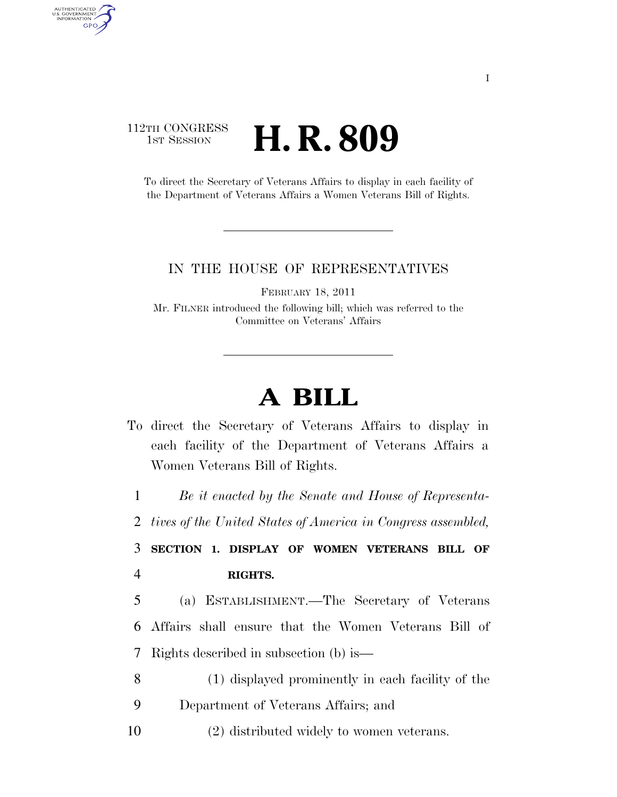## 112TH CONGRESS **1ST SESSION H. R. 809**

AUTHENTICATED<br>U.S. GOVERNMENT<br>INFORMATION **GPO** 

> To direct the Secretary of Veterans Affairs to display in each facility of the Department of Veterans Affairs a Women Veterans Bill of Rights.

## IN THE HOUSE OF REPRESENTATIVES

FEBRUARY 18, 2011

Mr. FILNER introduced the following bill; which was referred to the Committee on Veterans' Affairs

## **A BILL**

To direct the Secretary of Veterans Affairs to display in each facility of the Department of Veterans Affairs a Women Veterans Bill of Rights.

1 *Be it enacted by the Senate and House of Representa-*

2 *tives of the United States of America in Congress assembled,* 

3 **SECTION 1. DISPLAY OF WOMEN VETERANS BILL OF**  4 **RIGHTS.** 

5 (a) ESTABLISHMENT.—The Secretary of Veterans 6 Affairs shall ensure that the Women Veterans Bill of 7 Rights described in subsection (b) is—

- 8 (1) displayed prominently in each facility of the 9 Department of Veterans Affairs; and
- 10 (2) distributed widely to women veterans.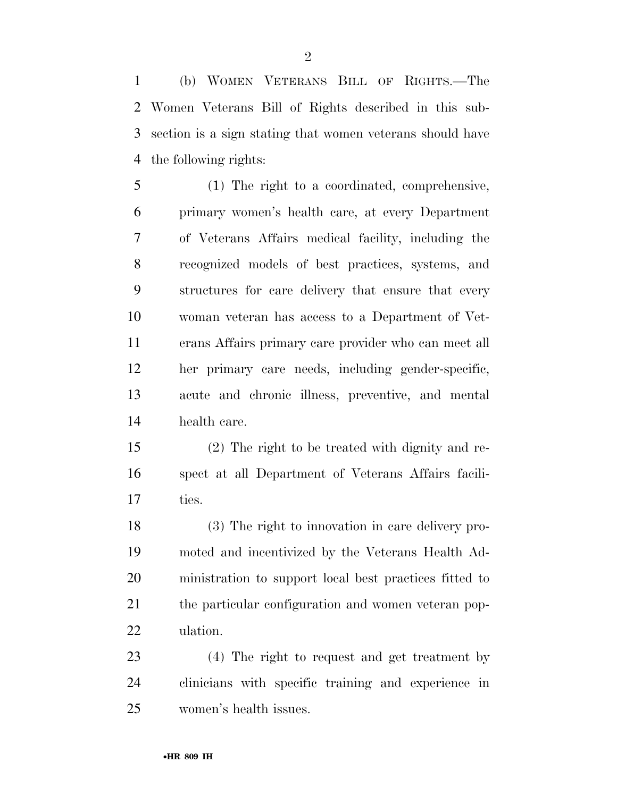(b) WOMEN VETERANS BILL OF RIGHTS.—The Women Veterans Bill of Rights described in this sub- section is a sign stating that women veterans should have the following rights:

 (1) The right to a coordinated, comprehensive, primary women's health care, at every Department of Veterans Affairs medical facility, including the recognized models of best practices, systems, and structures for care delivery that ensure that every woman veteran has access to a Department of Vet- erans Affairs primary care provider who can meet all her primary care needs, including gender-specific, acute and chronic illness, preventive, and mental health care.

 (2) The right to be treated with dignity and re- spect at all Department of Veterans Affairs facili-ties.

 (3) The right to innovation in care delivery pro- moted and incentivized by the Veterans Health Ad- ministration to support local best practices fitted to the particular configuration and women veteran pop-ulation.

 (4) The right to request and get treatment by clinicians with specific training and experience in women's health issues.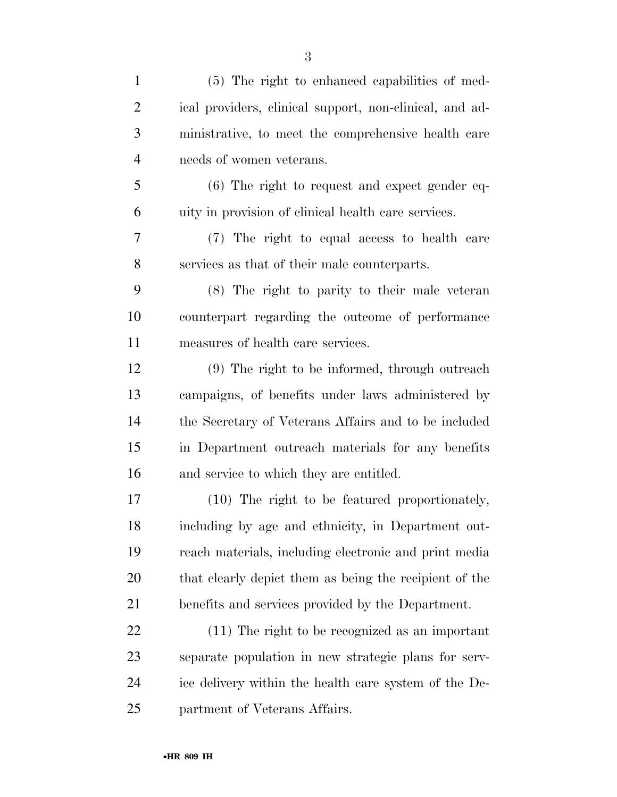| $\mathbf{1}$   | (5) The right to enhanced capabilities of med-          |
|----------------|---------------------------------------------------------|
| $\overline{2}$ | ical providers, clinical support, non-clinical, and ad- |
| 3              | ministrative, to meet the comprehensive health care     |
| $\overline{4}$ | needs of women veterans.                                |
| 5              | $(6)$ The right to request and expect gender eq-        |
| 6              | uity in provision of clinical health care services.     |
| 7              | (7) The right to equal access to health care            |
| 8              | services as that of their male counterparts.            |
| 9              | (8) The right to parity to their male veteran           |
| 10             | counterpart regarding the outcome of performance        |
| 11             | measures of health care services.                       |
| 12             | (9) The right to be informed, through outreach          |
| 13             | campaigns, of benefits under laws administered by       |
| 14             | the Secretary of Veterans Affairs and to be included    |
| 15             | in Department outreach materials for any benefits       |
| 16             | and service to which they are entitled.                 |
| 17             | (10) The right to be featured proportionately,          |
| 18             | including by age and ethnicity, in Department out-      |
| 19             | reach materials, including electronic and print media   |
| 20             | that clearly depict them as being the recipient of the  |
| 21             | benefits and services provided by the Department.       |
| 22             | (11) The right to be recognized as an important         |
| 23             | separate population in new strategic plans for serv-    |
| 24             | ice delivery within the health care system of the De-   |
| 25             | partment of Veterans Affairs.                           |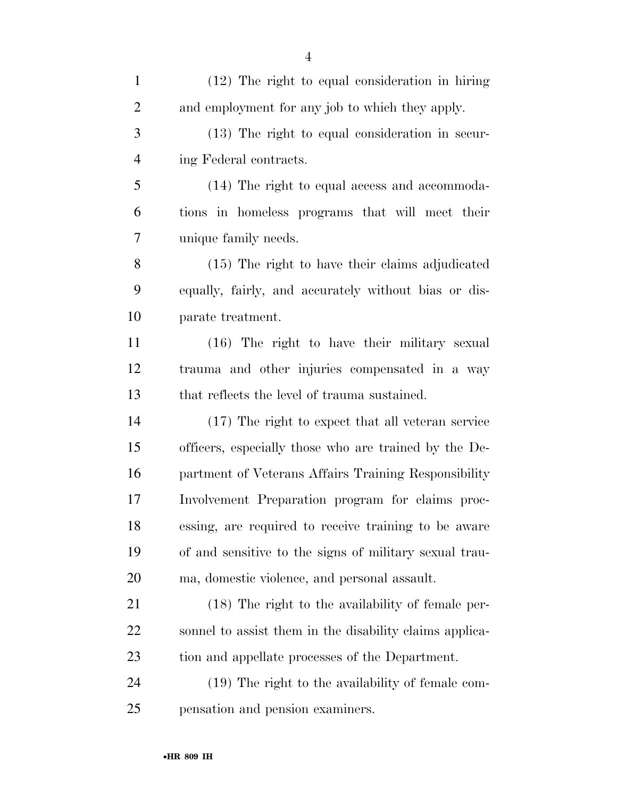| $\mathbf{1}$   | (12) The right to equal consideration in hiring         |
|----------------|---------------------------------------------------------|
| $\overline{2}$ | and employment for any job to which they apply.         |
| 3              | (13) The right to equal consideration in secur-         |
| 4              | ing Federal contracts.                                  |
| 5              | (14) The right to equal access and accommoda-           |
| 6              | tions in homeless programs that will meet their         |
| 7              | unique family needs.                                    |
| 8              | (15) The right to have their claims adjudicated         |
| 9              | equally, fairly, and accurately without bias or dis-    |
| 10             | parate treatment.                                       |
| 11             | (16) The right to have their military sexual            |
| 12             | trauma and other injuries compensated in a way          |
| 13             | that reflects the level of trauma sustained.            |
| 14             | (17) The right to expect that all veteran service       |
| 15             | officers, especially those who are trained by the De-   |
| 16             | partment of Veterans Affairs Training Responsibility    |
| 17             | Involvement Preparation program for claims proc-        |
| 18             | essing, are required to receive training to be aware    |
| 19             | of and sensitive to the signs of military sexual trau-  |
| 20             | ma, domestic violence, and personal assault.            |
| 21             | (18) The right to the availability of female per-       |
| 22             | sonnel to assist them in the disability claims applica- |
| 23             | tion and appellate processes of the Department.         |
| 24             | (19) The right to the availability of female com-       |
| 25             | pensation and pension examiners.                        |